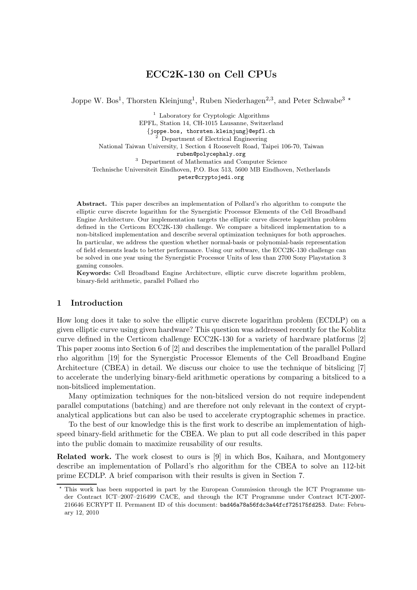# ECC2K-130 on Cell CPUs

Joppe W. Bos<sup>1</sup>, Thorsten Kleinjung<sup>1</sup>, Ruben Niederhagen<sup>2,3</sup>, and Peter Schwabe<sup>3</sup><sup>\*</sup>

<sup>1</sup> Laboratory for Cryptologic Algorithms EPFL, Station 14, CH-1015 Lausanne, Switzerland {joppe.bos, thorsten.kleinjung}@epfl.ch <sup>2</sup> Department of Electrical Engineering National Taiwan University, 1 Section 4 Roosevelt Road, Taipei 106-70, Taiwan ruben@polycephaly.org <sup>3</sup> Department of Mathematics and Computer Science Technische Universiteit Eindhoven, P.O. Box 513, 5600 MB Eindhoven, Netherlands peter@cryptojedi.org

Abstract. This paper describes an implementation of Pollard's rho algorithm to compute the elliptic curve discrete logarithm for the Synergistic Processor Elements of the Cell Broadband Engine Architecture. Our implementation targets the elliptic curve discrete logarithm problem defined in the Certicom ECC2K-130 challenge. We compare a bitsliced implementation to a non-bitsliced implementation and describe several optimization techniques for both approaches. In particular, we address the question whether normal-basis or polynomial-basis representation of field elements leads to better performance. Using our software, the ECC2K-130 challenge can be solved in one year using the Synergistic Processor Units of less than 2700 Sony Playstation 3 gaming consoles.

Keywords: Cell Broadband Engine Architecture, elliptic curve discrete logarithm problem, binary-field arithmetic, parallel Pollard rho

## 1 Introduction

How long does it take to solve the elliptic curve discrete logarithm problem (ECDLP) on a given elliptic curve using given hardware? This question was addressed recently for the Koblitz curve defined in the Certicom challenge ECC2K-130 for a variety of hardware platforms [2] This paper zooms into Section 6 of [2] and describes the implementation of the parallel Pollard rho algorithm [19] for the Synergistic Processor Elements of the Cell Broadband Engine Architecture (CBEA) in detail. We discuss our choice to use the technique of bitslicing [7] to accelerate the underlying binary-field arithmetic operations by comparing a bitsliced to a non-bitsliced implementation.

Many optimization techniques for the non-bitsliced version do not require independent parallel computations (batching) and are therefore not only relevant in the context of cryptanalytical applications but can also be used to accelerate cryptographic schemes in practice.

To the best of our knowledge this is the first work to describe an implementation of highspeed binary-field arithmetic for the CBEA. We plan to put all code described in this paper into the public domain to maximize reusability of our results.

Related work. The work closest to ours is [9] in which Bos, Kaihara, and Montgomery describe an implementation of Pollard's rho algorithm for the CBEA to solve an 112-bit prime ECDLP. A brief comparison with their results is given in Section 7.

 $\star$  This work has been supported in part by the European Commission through the ICT Programme under Contract ICT–2007–216499 CACE, and through the ICT Programme under Contract ICT-2007- 216646 ECRYPT II. Permanent ID of this document: bad46a78a56fdc3a44fcf725175fd253. Date: February 12, 2010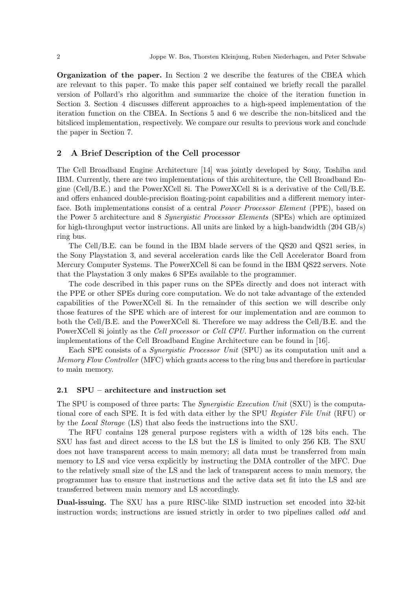Organization of the paper. In Section 2 we describe the features of the CBEA which are relevant to this paper. To make this paper self contained we briefly recall the parallel version of Pollard's rho algorithm and summarize the choice of the iteration function in Section 3. Section 4 discusses different approaches to a high-speed implementation of the iteration function on the CBEA. In Sections 5 and 6 we describe the non-bitsliced and the bitsliced implementation, respectively. We compare our results to previous work and conclude the paper in Section 7.

## 2 A Brief Description of the Cell processor

The Cell Broadband Engine Architecture [14] was jointly developed by Sony, Toshiba and IBM. Currently, there are two implementations of this architecture, the Cell Broadband Engine (Cell/B.E.) and the PowerXCell 8i. The PowerXCell 8i is a derivative of the Cell/B.E. and offers enhanced double-precision floating-point capabilities and a different memory interface. Both implementations consist of a central *Power Processor Element* (PPE), based on the Power 5 architecture and 8 Synergistic Processor Elements (SPEs) which are optimized for high-throughput vector instructions. All units are linked by a high-bandwidth  $(204 \text{ GB/s})$ ring bus.

The Cell/B.E. can be found in the IBM blade servers of the QS20 and QS21 series, in the Sony Playstation 3, and several acceleration cards like the Cell Accelerator Board from Mercury Computer Systems. The PowerXCell 8i can be found in the IBM QS22 servers. Note that the Playstation 3 only makes 6 SPEs available to the programmer.

The code described in this paper runs on the SPEs directly and does not interact with the PPE or other SPEs during core computation. We do not take advantage of the extended capabilities of the PowerXCell 8i. In the remainder of this section we will describe only those features of the SPE which are of interest for our implementation and are common to both the Cell/B.E. and the PowerXCell 8i. Therefore we may address the Cell/B.E. and the PowerXCell 8i jointly as the Cell processor or Cell CPU. Further information on the current implementations of the Cell Broadband Engine Architecture can be found in [16].

Each SPE consists of a Synergistic Processor Unit (SPU) as its computation unit and a Memory Flow Controller (MFC) which grants access to the ring bus and therefore in particular to main memory.

## 2.1 SPU – architecture and instruction set

The SPU is composed of three parts: The *Synergistic Execution Unit* (SXU) is the computational core of each SPE. It is fed with data either by the SPU Register File Unit (RFU) or by the Local Storage (LS) that also feeds the instructions into the SXU.

The RFU contains 128 general purpose registers with a width of 128 bits each. The SXU has fast and direct access to the LS but the LS is limited to only 256 KB. The SXU does not have transparent access to main memory; all data must be transferred from main memory to LS and vice versa explicitly by instructing the DMA controller of the MFC. Due to the relatively small size of the LS and the lack of transparent access to main memory, the programmer has to ensure that instructions and the active data set fit into the LS and are transferred between main memory and LS accordingly.

Dual-issuing. The SXU has a pure RISC-like SIMD instruction set encoded into 32-bit instruction words; instructions are issued strictly in order to two pipelines called odd and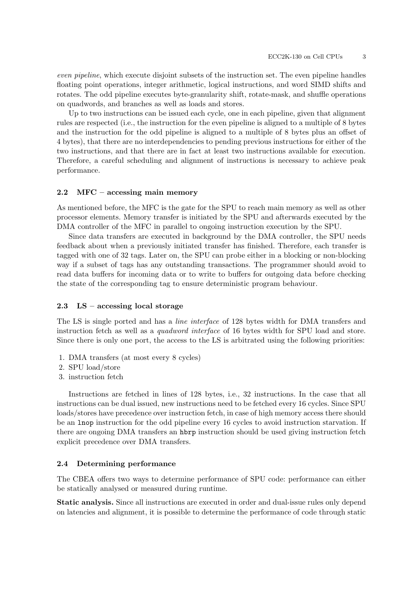even pipeline, which execute disjoint subsets of the instruction set. The even pipeline handles floating point operations, integer arithmetic, logical instructions, and word SIMD shifts and rotates. The odd pipeline executes byte-granularity shift, rotate-mask, and shuffle operations on quadwords, and branches as well as loads and stores.

Up to two instructions can be issued each cycle, one in each pipeline, given that alignment rules are respected (i.e., the instruction for the even pipeline is aligned to a multiple of 8 bytes and the instruction for the odd pipeline is aligned to a multiple of 8 bytes plus an offset of 4 bytes), that there are no interdependencies to pending previous instructions for either of the two instructions, and that there are in fact at least two instructions available for execution. Therefore, a careful scheduling and alignment of instructions is necessary to achieve peak performance.

#### 2.2 MFC – accessing main memory

As mentioned before, the MFC is the gate for the SPU to reach main memory as well as other processor elements. Memory transfer is initiated by the SPU and afterwards executed by the DMA controller of the MFC in parallel to ongoing instruction execution by the SPU.

Since data transfers are executed in background by the DMA controller, the SPU needs feedback about when a previously initiated transfer has finished. Therefore, each transfer is tagged with one of 32 tags. Later on, the SPU can probe either in a blocking or non-blocking way if a subset of tags has any outstanding transactions. The programmer should avoid to read data buffers for incoming data or to write to buffers for outgoing data before checking the state of the corresponding tag to ensure deterministic program behaviour.

#### 2.3 LS – accessing local storage

The LS is single ported and has a line interface of 128 bytes width for DMA transfers and instruction fetch as well as a quadword interface of 16 bytes width for SPU load and store. Since there is only one port, the access to the LS is arbitrated using the following priorities:

- 1. DMA transfers (at most every 8 cycles)
- 2. SPU load/store
- 3. instruction fetch

Instructions are fetched in lines of 128 bytes, i.e., 32 instructions. In the case that all instructions can be dual issued, new instructions need to be fetched every 16 cycles. Since SPU loads/stores have precedence over instruction fetch, in case of high memory access there should be an lnop instruction for the odd pipeline every 16 cycles to avoid instruction starvation. If there are ongoing DMA transfers an hbrp instruction should be used giving instruction fetch explicit precedence over DMA transfers.

## 2.4 Determining performance

The CBEA offers two ways to determine performance of SPU code: performance can either be statically analysed or measured during runtime.

Static analysis. Since all instructions are executed in order and dual-issue rules only depend on latencies and alignment, it is possible to determine the performance of code through static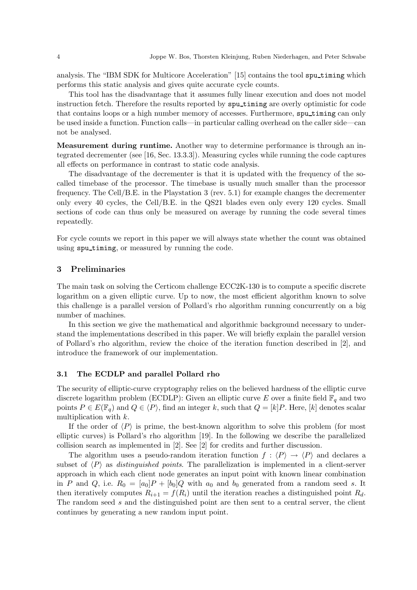analysis. The "IBM SDK for Multicore Acceleration" [15] contains the tool spu timing which performs this static analysis and gives quite accurate cycle counts.

This tool has the disadvantage that it assumes fully linear execution and does not model instruction fetch. Therefore the results reported by sputining are overly optimistic for code that contains loops or a high number memory of accesses. Furthermore, spu timing can only be used inside a function. Function calls—in particular calling overhead on the caller side—can not be analysed.

Measurement during runtime. Another way to determine performance is through an integrated decrementer (see [16, Sec. 13.3.3]). Measuring cycles while running the code captures all effects on performance in contrast to static code analysis.

The disadvantage of the decrementer is that it is updated with the frequency of the socalled timebase of the processor. The timebase is usually much smaller than the processor frequency. The Cell/B.E. in the Playstation 3 (rev. 5.1) for example changes the decrementer only every 40 cycles, the Cell/B.E. in the QS21 blades even only every 120 cycles. Small sections of code can thus only be measured on average by running the code several times repeatedly.

For cycle counts we report in this paper we will always state whether the count was obtained using spu timing, or measured by running the code.

### 3 Preliminaries

The main task on solving the Certicom challenge ECC2K-130 is to compute a specific discrete logarithm on a given elliptic curve. Up to now, the most efficient algorithm known to solve this challenge is a parallel version of Pollard's rho algorithm running concurrently on a big number of machines.

In this section we give the mathematical and algorithmic background necessary to understand the implementations described in this paper. We will briefly explain the parallel version of Pollard's rho algorithm, review the choice of the iteration function described in [2], and introduce the framework of our implementation.

#### 3.1 The ECDLP and parallel Pollard rho

The security of elliptic-curve cryptography relies on the believed hardness of the elliptic curve discrete logarithm problem (ECDLP): Given an elliptic curve E over a finite field  $\mathbb{F}_q$  and two points  $P \in E(\mathbb{F}_q)$  and  $Q \in \langle P \rangle$ , find an integer k, such that  $Q = [k]P$ . Here, [k] denotes scalar multiplication with k.

If the order of  $\langle P \rangle$  is prime, the best-known algorithm to solve this problem (for most elliptic curves) is Pollard's rho algorithm [19]. In the following we describe the parallelized collision search as implemented in [2]. See [2] for credits and further discussion.

The algorithm uses a pseudo-random iteration function  $f : \langle P \rangle \to \langle P \rangle$  and declares a subset of  $\langle P \rangle$  as *distinguished points*. The parallelization is implemented in a client-server approach in which each client node generates an input point with known linear combination in P and Q, i.e.  $R_0 = [a_0]P + [b_0]Q$  with  $a_0$  and  $b_0$  generated from a random seed s. It then iteratively computes  $R_{i+1} = f(R_i)$  until the iteration reaches a distinguished point  $R_d$ . The random seed s and the distinguished point are then sent to a central server, the client continues by generating a new random input point.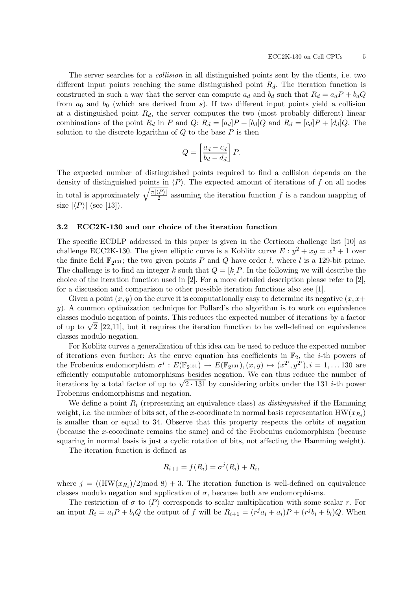The server searches for a collision in all distinguished points sent by the clients, i.e. two different input points reaching the same distinguished point  $R_d$ . The iteration function is constructed in such a way that the server can compute  $a_d$  and  $b_d$  such that  $R_d = a_d P + b_d Q$ from  $a_0$  and  $b_0$  (which are derived from s). If two different input points yield a collision at a distinguished point  $R_d$ , the server computes the two (most probably different) linear combinations of the point  $R_d$  in P and Q:  $R_d = [a_d]P + [b_d]Q$  and  $R_d = [c_d]P + [d_d]Q$ . The solution to the discrete logarithm of  $Q$  to the base  $P$  is then

$$
Q = \left[\frac{a_d - c_d}{b_d - d_d}\right]P.
$$

The expected number of distinguished points required to find a collision depends on the density of distinguished points in  $\langle P \rangle$ . The expected amount of iterations of f on all nodes in total is approximately  $\sqrt{\frac{\pi |\langle P \rangle|^2}{2}}$  $\frac{2^{L}}{2}$  assuming the iteration function f is a random mapping of size  $|\langle P \rangle|$  (see [13]).

## 3.2 ECC2K-130 and our choice of the iteration function

The specific ECDLP addressed in this paper is given in the Certicom challenge list [10] as challenge ECC2K-130. The given elliptic curve is a Koblitz curve  $E: y^2 + xy = x^3 + 1$  over the finite field  $\mathbb{F}_{2^{131}}$ ; the two given points P and Q have order l, where l is a 129-bit prime. The challenge is to find an integer k such that  $Q = [k]P$ . In the following we will describe the choice of the iteration function used in  $[2]$ . For a more detailed description please refer to  $[2]$ , for a discussion and comparison to other possible iteration functions also see [1].

Given a point  $(x, y)$  on the curve it is computationally easy to determine its negative  $(x, x+)$ y). A common optimization technique for Pollard's rho algorithm is to work on equivalence classes modulo negation of points. This reduces the expected number of iterations by a factor of up to  $\sqrt{2}$  [22,11], but it requires the iteration function to be well-defined on equivalence classes modulo negation.

For Koblitz curves a generalization of this idea can be used to reduce the expected number of iterations even further: As the curve equation has coefficients in  $\mathbb{F}_2$ , the *i*-th powers of the Frobenius endomorphism  $\sigma^i : E(\mathbb{F}_{2^{131}}) \to E(\mathbb{F}_{2^{131}}), (x, y) \mapsto (x^{2^i}, y^{2^i}), i = 1, \dots 130$  are efficiently computable automorphisms besides negation. We can thus reduce the number of iterations by a total factor of up to  $\sqrt{2 \cdot 131}$  by considering orbits under the 131 *i*-th power Frobenius endomorphisms and negation.

We define a point  $R_i$  (representing an equivalence class) as *distinguished* if the Hamming weight, i.e. the number of bits set, of the x-coordinate in normal basis representation  $HW(x_{R_i})$ is smaller than or equal to 34. Observe that this property respects the orbits of negation (because the x-coordinate remains the same) and of the Frobenius endomorphism (because squaring in normal basis is just a cyclic rotation of bits, not affecting the Hamming weight).

The iteration function is defined as

$$
R_{i+1} = f(R_i) = \sigma^j(R_i) + R_i,
$$

where  $j = ((HW(x_{R_i})/2) \text{mod } 8) + 3$ . The iteration function is well-defined on equivalence classes modulo negation and application of  $\sigma$ , because both are endomorphisms.

The restriction of  $\sigma$  to  $\langle P \rangle$  corresponds to scalar multiplication with some scalar r. For an input  $R_i = a_i P + b_i Q$  the output of f will be  $R_{i+1} = (r^j a_i + a_i)P + (r^j b_i + b_i)Q$ . When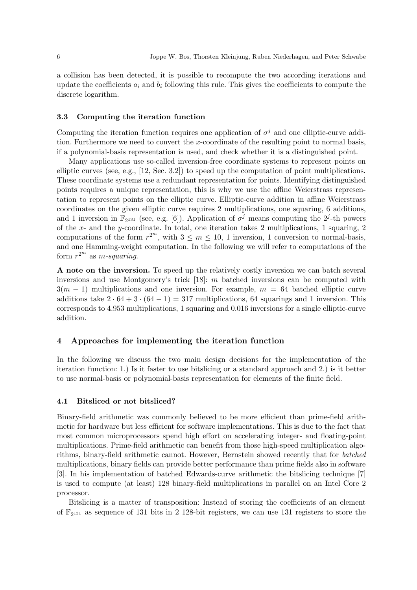a collision has been detected, it is possible to recompute the two according iterations and update the coefficients  $a_i$  and  $b_i$  following this rule. This gives the coefficients to compute the discrete logarithm.

#### 3.3 Computing the iteration function

Computing the iteration function requires one application of  $\sigma^j$  and one elliptic-curve addition. Furthermore we need to convert the x-coordinate of the resulting point to normal basis, if a polynomial-basis representation is used, and check whether it is a distinguished point.

Many applications use so-called inversion-free coordinate systems to represent points on elliptic curves (see, e.g., [12, Sec. 3.2]) to speed up the computation of point multiplications. These coordinate systems use a redundant representation for points. Identifying distinguished points requires a unique representation, this is why we use the affine Weierstrass representation to represent points on the elliptic curve. Elliptic-curve addition in affine Weierstrass coordinates on the given elliptic curve requires 2 multiplications, one squaring, 6 additions, and 1 inversion in  $\mathbb{F}_{2^{131}}$  (see, e.g. [6]). Application of  $\sigma^j$  means computing the  $2^j$ -th powers of the  $x$ - and the y-coordinate. In total, one iteration takes 2 multiplications, 1 squaring, 2 computations of the form  $r^{2^m}$ , with  $3 \le m \le 10, 1$  inversion, 1 conversion to normal-basis, and one Hamming-weight computation. In the following we will refer to computations of the form  $r^{2^m}$  as m-squaring.

A note on the inversion. To speed up the relatively costly inversion we can batch several inversions and use Montgomery's trick [18]: m batched inversions can be computed with  $3(m-1)$  multiplications and one inversion. For example,  $m = 64$  batched elliptic curve additions take  $2 \cdot 64 + 3 \cdot (64 - 1) = 317$  multiplications, 64 squarings and 1 inversion. This corresponds to 4.953 multiplications, 1 squaring and 0.016 inversions for a single elliptic-curve addition.

## 4 Approaches for implementing the iteration function

In the following we discuss the two main design decisions for the implementation of the iteration function: 1.) Is it faster to use bitslicing or a standard approach and 2.) is it better to use normal-basis or polynomial-basis representation for elements of the finite field.

#### 4.1 Bitsliced or not bitsliced?

Binary-field arithmetic was commonly believed to be more efficient than prime-field arithmetic for hardware but less efficient for software implementations. This is due to the fact that most common microprocessors spend high effort on accelerating integer- and floating-point multiplications. Prime-field arithmetic can benefit from those high-speed multiplication algorithms, binary-field arithmetic cannot. However, Bernstein showed recently that for batched multiplications, binary fields can provide better performance than prime fields also in software [3]. In his implementation of batched Edwards-curve arithmetic the bitslicing technique [7] is used to compute (at least) 128 binary-field multiplications in parallel on an Intel Core 2 processor.

Bitslicing is a matter of transposition: Instead of storing the coefficients of an element of  $\mathbb{F}_{2^{131}}$  as sequence of 131 bits in 2 128-bit registers, we can use 131 registers to store the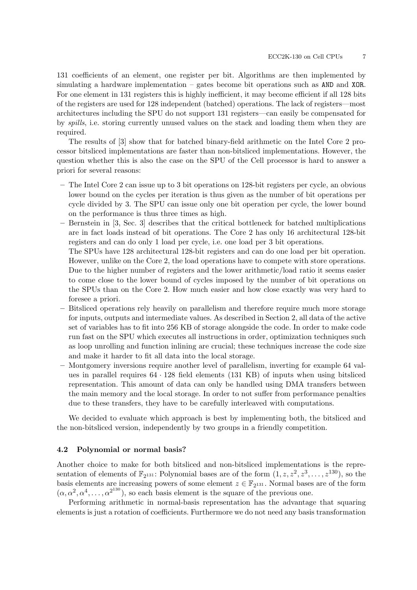131 coefficients of an element, one register per bit. Algorithms are then implemented by simulating a hardware implementation – gates become bit operations such as AND and XOR. For one element in 131 registers this is highly inefficient, it may become efficient if all 128 bits of the registers are used for 128 independent (batched) operations. The lack of registers—most architectures including the SPU do not support 131 registers—can easily be compensated for by spills, i.e. storing currently unused values on the stack and loading them when they are required.

The results of [3] show that for batched binary-field arithmetic on the Intel Core 2 processor bitsliced implementations are faster than non-bitsliced implementations. However, the question whether this is also the case on the SPU of the Cell processor is hard to answer a priori for several reasons:

- The Intel Core 2 can issue up to 3 bit operations on 128-bit registers per cycle, an obvious lower bound on the cycles per iteration is thus given as the number of bit operations per cycle divided by 3. The SPU can issue only one bit operation per cycle, the lower bound on the performance is thus three times as high.
- Bernstein in [3, Sec. 3] describes that the critical bottleneck for batched multiplications are in fact loads instead of bit operations. The Core 2 has only 16 architectural 128-bit registers and can do only 1 load per cycle, i.e. one load per 3 bit operations.

The SPUs have 128 architectural 128-bit registers and can do one load per bit operation. However, unlike on the Core 2, the load operations have to compete with store operations. Due to the higher number of registers and the lower arithmetic/load ratio it seems easier to come close to the lower bound of cycles imposed by the number of bit operations on the SPUs than on the Core 2. How much easier and how close exactly was very hard to foresee a priori.

- Bitsliced operations rely heavily on parallelism and therefore require much more storage for inputs, outputs and intermediate values. As described in Section 2, all data of the active set of variables has to fit into 256 KB of storage alongside the code. In order to make code run fast on the SPU which executes all instructions in order, optimization techniques such as loop unrolling and function inlining are crucial; these techniques increase the code size and make it harder to fit all data into the local storage.
- Montgomery inversions require another level of parallelism, inverting for example 64 values in parallel requires  $64 \cdot 128$  field elements (131 KB) of inputs when using bitsliced representation. This amount of data can only be handled using DMA transfers between the main memory and the local storage. In order to not suffer from performance penalties due to these transfers, they have to be carefully interleaved with computations.

We decided to evaluate which approach is best by implementing both, the bitsliced and the non-bitsliced version, independently by two groups in a friendly competition.

#### 4.2 Polynomial or normal basis?

Another choice to make for both bitsliced and non-bitsliced implementations is the representation of elements of  $\mathbb{F}_{2^{131}}$ : Polynomial bases are of the form  $(1, z, z^2, z^3, \ldots, z^{130})$ , so the basis elements are increasing powers of some element  $z \in \mathbb{F}_{2^{131}}$ . Normal bases are of the form  $(\alpha, \alpha^2, \alpha^4, \dots, \alpha^{2^{130}})$ , so each basis element is the square of the previous one.

Performing arithmetic in normal-basis representation has the advantage that squaring elements is just a rotation of coefficients. Furthermore we do not need any basis transformation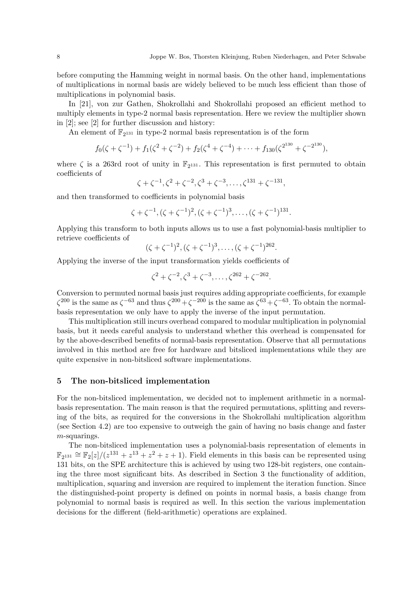before computing the Hamming weight in normal basis. On the other hand, implementations of multiplications in normal basis are widely believed to be much less efficient than those of multiplications in polynomial basis.

In [21], von zur Gathen, Shokrollahi and Shokrollahi proposed an efficient method to multiply elements in type-2 normal basis representation. Here we review the multiplier shown in [2]; see [2] for further discussion and history:

An element of  $\mathbb{F}_{2^{131}}$  in type-2 normal basis representation is of the form

$$
f_0(\zeta + \zeta^{-1}) + f_1(\zeta^2 + \zeta^{-2}) + f_2(\zeta^4 + \zeta^{-4}) + \cdots + f_{130}(\zeta^{2^{130}} + \zeta^{-2^{130}}),
$$

where  $\zeta$  is a 263rd root of unity in  $\mathbb{F}_{2^{131}}$ . This representation is first permuted to obtain coefficients of

$$
\zeta + \zeta^{-1}, \zeta^2 + \zeta^{-2}, \zeta^3 + \zeta^{-3}, \dots, \zeta^{131} + \zeta^{-131},
$$

and then transformed to coefficients in polynomial basis

$$
\zeta+\zeta^{-1}, (\zeta+\zeta^{-1})^2, (\zeta+\zeta^{-1})^3, \ldots, (\zeta+\zeta^{-1})^{131}.
$$

Applying this transform to both inputs allows us to use a fast polynomial-basis multiplier to retrieve coefficients of

$$
(\zeta + \zeta^{-1})^2, (\zeta + \zeta^{-1})^3, \ldots, (\zeta + \zeta^{-1})^{262}.
$$

Applying the inverse of the input transformation yields coefficients of

$$
\zeta^2 + \zeta^{-2}, \zeta^3 + \zeta^{-3}, \dots, \zeta^{262} + \zeta^{-262}.
$$

Conversion to permuted normal basis just requires adding appropriate coefficients, for example  $\zeta^{200}$  is the same as  $\zeta^{-63}$  and thus  $\zeta^{200} + \zeta^{-200}$  is the same as  $\zeta^{63} + \zeta^{-63}$ . To obtain the normalbasis representation we only have to apply the inverse of the input permutation.

This multiplication still incurs overhead compared to modular multiplication in polynomial basis, but it needs careful analysis to understand whether this overhead is compensated for by the above-described benefits of normal-basis representation. Observe that all permutations involved in this method are free for hardware and bitsliced implementations while they are quite expensive in non-bitsliced software implementations.

## 5 The non-bitsliced implementation

For the non-bitsliced implementation, we decided not to implement arithmetic in a normalbasis representation. The main reason is that the required permutations, splitting and reversing of the bits, as required for the conversions in the Shokrollahi multiplication algorithm (see Section 4.2) are too expensive to outweigh the gain of having no basis change and faster  $m$ -squarings.

The non-bitsliced implementation uses a polynomial-basis representation of elements in  $\mathbb{F}_{2^{131}} \cong \mathbb{F}_{2}[z]/(z^{131}+z^{13}+z^2+z+1)$ . Field elements in this basis can be represented using 131 bits, on the SPE architecture this is achieved by using two 128-bit registers, one containing the three most significant bits. As described in Section 3 the functionality of addition, multiplication, squaring and inversion are required to implement the iteration function. Since the distinguished-point property is defined on points in normal basis, a basis change from polynomial to normal basis is required as well. In this section the various implementation decisions for the different (field-arithmetic) operations are explained.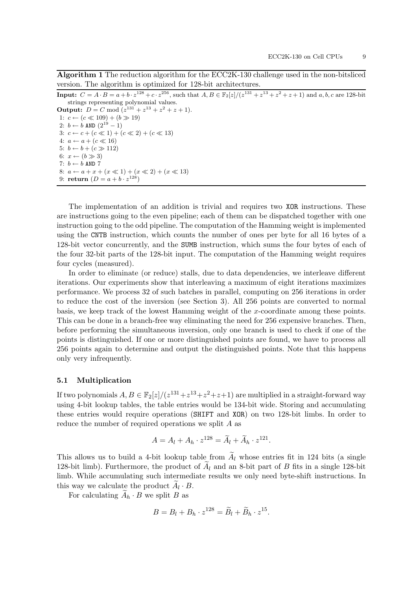Algorithm 1 The reduction algorithm for the ECC2K-130 challenge used in the non-bitsliced version. The algorithm is optimized for 128-bit architectures.

| <b>Input:</b> $C = A \cdot B = a + b \cdot z^{128} + c \cdot z^{256}$ , such that $A, B \in \mathbb{F}_2[z]/(z^{131} + z^{13} + z^2 + z + 1)$ and $a, b, c$ are 128-bit |  |  |  |
|-------------------------------------------------------------------------------------------------------------------------------------------------------------------------|--|--|--|
| strings representing polynomial values.                                                                                                                                 |  |  |  |

**Output:**  $D = C \text{ mod } (z^{131} + z^{13} + z^2 + z + 1).$ 1:  $c \leftarrow (c \ll 109) + (b \gg 19)$ 2:  $b \leftarrow b$  AND  $(2^{19} - 1)$ 3:  $c \leftarrow c + (c \ll 1) + (c \ll 2) + (c \ll 13)$ 4:  $a \leftarrow a + (c \ll 16)$ 5:  $b \leftarrow b + (c \gg 112)$ 6:  $x \leftarrow (b \gg 3)$ 7:  $b \leftarrow b$  AND 7 8:  $a \leftarrow a + x + (x \ll 1) + (x \ll 2) + (x \ll 13)$ 9: return  $(D = a + b \cdot z^{128})$ 

The implementation of an addition is trivial and requires two XOR instructions. These are instructions going to the even pipeline; each of them can be dispatched together with one instruction going to the odd pipeline. The computation of the Hamming weight is implemented using the CNTB instruction, which counts the number of ones per byte for all 16 bytes of a 128-bit vector concurrently, and the SUMB instruction, which sums the four bytes of each of the four 32-bit parts of the 128-bit input. The computation of the Hamming weight requires four cycles (measured).

In order to eliminate (or reduce) stalls, due to data dependencies, we interleave different iterations. Our experiments show that interleaving a maximum of eight iterations maximizes performance. We process 32 of such batches in parallel, computing on 256 iterations in order to reduce the cost of the inversion (see Section 3). All 256 points are converted to normal basis, we keep track of the lowest Hamming weight of the x-coordinate among these points. This can be done in a branch-free way eliminating the need for 256 expensive branches. Then, before performing the simultaneous inversion, only one branch is used to check if one of the points is distinguished. If one or more distinguished points are found, we have to process all 256 points again to determine and output the distinguished points. Note that this happens only very infrequently.

#### 5.1 Multiplication

If two polynomials  $A, B \in \mathbb{F}_2[z]/(z^{131}+z^{13}+z^2+z+1)$  are multiplied in a straight-forward way using 4-bit lookup tables, the table entries would be 134-bit wide. Storing and accumulating these entries would require operations (SHIFT and XOR) on two 128-bit limbs. In order to reduce the number of required operations we split A as

$$
A = A_l + A_h \cdot z^{128} = \widetilde{A}_l + \widetilde{A}_h \cdot z^{121}.
$$

This allows us to build a 4-bit lookup table from  $A_l$  whose entries fit in 124 bits (a single 128-bit limb). Furthermore, the product of  $A_l$  and an 8-bit part of B fits in a single 128-bit limb. While accumulating such intermediate results we only need byte-shift instructions. In this way we calculate the product  $A_l \cdot B$ .

For calculating  $A_h \cdot B$  we split B as

$$
B=B_l+B_h\cdot z^{128}=\widetilde{B}_l+\widetilde{B}_h\cdot z^{15}.
$$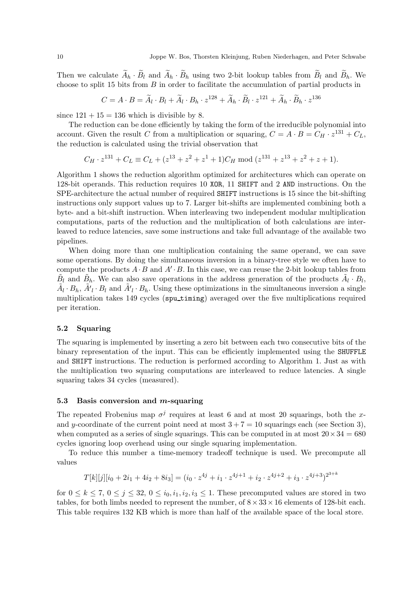Then we calculate  $A_h \cdot B_l$  and  $A_h \cdot B_h$  using two 2-bit lookup tables from  $B_l$  and  $B_h$ . We choose to split 15 bits from  $B$  in order to facilitate the accumulation of partial products in

$$
C=A\cdot B=\widetilde{A}_l\cdot B_l+\widetilde{A}_l\cdot B_h\cdot z^{128}+\widetilde{A}_h\cdot \widetilde{B}_l\cdot z^{121}+\widetilde{A}_h\cdot \widetilde{B}_h\cdot z^{136}
$$

since  $121 + 15 = 136$  which is divisible by 8.

The reduction can be done efficiently by taking the form of the irreducible polynomial into account. Given the result C from a multiplication or squaring,  $C = A \cdot B = C_H \cdot z^{131} + C_L$ , the reduction is calculated using the trivial observation that

$$
C_H \cdot z^{131} + C_L \equiv C_L + (z^{13} + z^2 + z^1 + 1)C_H \mod (z^{131} + z^{13} + z^2 + z + 1).
$$

Algorithm 1 shows the reduction algorithm optimized for architectures which can operate on 128-bit operands. This reduction requires 10 XOR, 11 SHIFT and 2 AND instructions. On the SPE-architecture the actual number of required SHIFT instructions is 15 since the bit-shifting instructions only support values up to 7. Larger bit-shifts are implemented combining both a byte- and a bit-shift instruction. When interleaving two independent modular multiplication computations, parts of the reduction and the multiplication of both calculations are interleaved to reduce latencies, save some instructions and take full advantage of the available two pipelines.

When doing more than one multiplication containing the same operand, we can save some operations. By doing the simultaneous inversion in a binary-tree style we often have to compute the products  $A \cdot B$  and  $A' \cdot B$ . In this case, we can reuse the 2-bit lookup tables from  $\tilde{B}_l$  and  $\tilde{B}_h$ . We can also save operations in the address generation of the products  $\tilde{A}_l \cdot B_l$ ,  $\tilde{A}_l \cdot B_h$ ,  $\tilde{A'}_l \cdot B_l$  and  $\tilde{A'}_l \cdot B_h$ . Using these optimizations in the simultaneous inversion a single multiplication takes 149 cycles (sputining) averaged over the five multiplications required per iteration.

### 5.2 Squaring

The squaring is implemented by inserting a zero bit between each two consecutive bits of the binary representation of the input. This can be efficiently implemented using the SHUFFLE and SHIFT instructions. The reduction is performed according to Algorithm 1. Just as with the multiplication two squaring computations are interleaved to reduce latencies. A single squaring takes 34 cycles (measured).

#### 5.3 Basis conversion and  $m$ -squaring

The repeated Frobenius map  $\sigma^j$  requires at least 6 and at most 20 squarings, both the xand y-coordinate of the current point need at most  $3+7=10$  squarings each (see Section 3), when computed as a series of single squarings. This can be computed in at most  $20 \times 34 = 680$ cycles ignoring loop overhead using our single squaring implementation.

To reduce this number a time-memory tradeoff technique is used. We precompute all values

$$
T[k][j][i_0 + 2i_1 + 4i_2 + 8i_3] = (i_0 \cdot z^{4j} + i_1 \cdot z^{4j+1} + i_2 \cdot z^{4j+2} + i_3 \cdot z^{4j+3})^{2^{3+k}}
$$

for  $0 \leq k \leq 7$ ,  $0 \leq j \leq 32$ ,  $0 \leq i_0, i_1, i_2, i_3 \leq 1$ . These precomputed values are stored in two tables, for both limbs needed to represent the number, of  $8 \times 33 \times 16$  elements of 128-bit each. This table requires 132 KB which is more than half of the available space of the local store.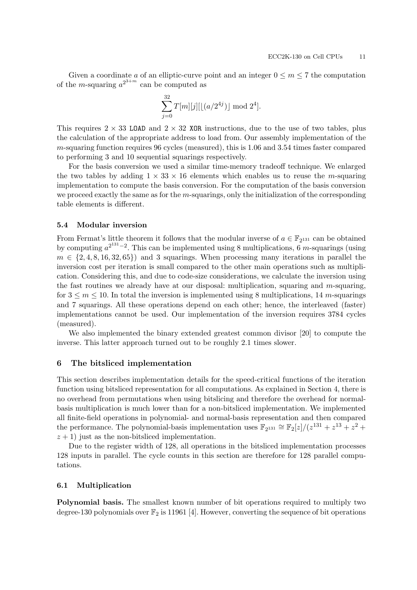Given a coordinate a of an elliptic-curve point and an integer  $0 \le m \le 7$  the computation of the *m*-squaring  $a^{2^{3+m}}$  can be computed as

$$
\sum_{j=0}^{32} T[m][j][[(a/2^{4j})] \mod 2^4].
$$

This requires  $2 \times 33$  LOAD and  $2 \times 32$  XOR instructions, due to the use of two tables, plus the calculation of the appropriate address to load from. Our assembly implementation of the  $m$ -squaring function requires 96 cycles (measured), this is 1.06 and 3.54 times faster compared to performing 3 and 10 sequential squarings respectively.

For the basis conversion we used a similar time-memory tradeoff technique. We enlarged the two tables by adding  $1 \times 33 \times 16$  elements which enables us to reuse the *m*-squaring implementation to compute the basis conversion. For the computation of the basis conversion we proceed exactly the same as for the  $m$ -squarings, only the initialization of the corresponding table elements is different.

### 5.4 Modular inversion

From Fermat's little theorem it follows that the modular inverse of  $a \in \mathbb{F}_{2^{131}}$  can be obtained by computing  $a^{2^{131}-2}$ . This can be implemented using 8 multiplications, 6 m-squarings (using  $m \in \{2, 4, 8, 16, 32, 65\}$  and 3 squarings. When processing many iterations in parallel the inversion cost per iteration is small compared to the other main operations such as multiplication. Considering this, and due to code-size considerations, we calculate the inversion using the fast routines we already have at our disposal: multiplication, squaring and m-squaring, for  $3 \leq m \leq 10$ . In total the inversion is implemented using 8 multiplications, 14 m-squarings and 7 squarings. All these operations depend on each other; hence, the interleaved (faster) implementations cannot be used. Our implementation of the inversion requires 3784 cycles (measured).

We also implemented the binary extended greatest common divisor [20] to compute the inverse. This latter approach turned out to be roughly 2.1 times slower.

#### 6 The bitsliced implementation

This section describes implementation details for the speed-critical functions of the iteration function using bitsliced representation for all computations. As explained in Section 4, there is no overhead from permutations when using bitslicing and therefore the overhead for normalbasis multiplication is much lower than for a non-bitsliced implementation. We implemented all finite-field operations in polynomial- and normal-basis representation and then compared the performance. The polynomial-basis implementation uses  $\mathbb{F}_{2^{131}} \cong \mathbb{F}_{2}[z]/(z^{131} + z^{13} + z^2 + z^{13})$  $z + 1$ ) just as the non-bitsliced implementation.

Due to the register width of 128, all operations in the bitsliced implementation processes 128 inputs in parallel. The cycle counts in this section are therefore for 128 parallel computations.

## 6.1 Multiplication

Polynomial basis. The smallest known number of bit operations required to multiply two degree-130 polynomials over  $\mathbb{F}_2$  is 11961 [4]. However, converting the sequence of bit operations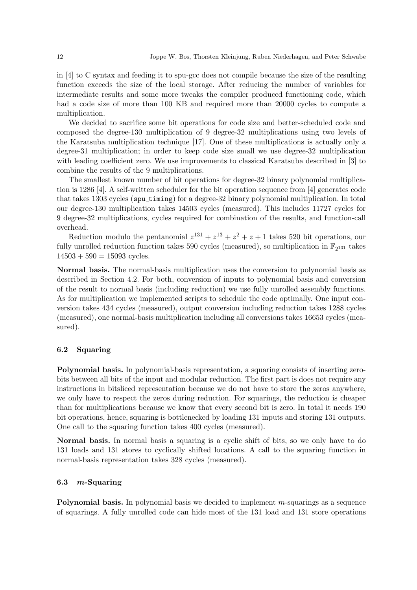in [4] to C syntax and feeding it to spu-gcc does not compile because the size of the resulting function exceeds the size of the local storage. After reducing the number of variables for intermediate results and some more tweaks the compiler produced functioning code, which had a code size of more than 100 KB and required more than 20000 cycles to compute a multiplication.

We decided to sacrifice some bit operations for code size and better-scheduled code and composed the degree-130 multiplication of 9 degree-32 multiplications using two levels of the Karatsuba multiplication technique [17]. One of these multiplications is actually only a degree-31 multiplication; in order to keep code size small we use degree-32 multiplication with leading coefficient zero. We use improvements to classical Karatsuba described in [3] to combine the results of the 9 multiplications.

The smallest known number of bit operations for degree-32 binary polynomial multiplication is 1286 [4]. A self-written scheduler for the bit operation sequence from [4] generates code that takes 1303 cycles (spu timing) for a degree-32 binary polynomial multiplication. In total our degree-130 multiplication takes 14503 cycles (measured). This includes 11727 cycles for 9 degree-32 multiplications, cycles required for combination of the results, and function-call overhead.

Reduction modulo the pentanomial  $z^{131} + z^{13} + z^2 + z + 1$  takes 520 bit operations, our fully unrolled reduction function takes 590 cycles (measured), so multiplication in  $\mathbb{F}_{2^{131}}$  takes  $14503 + 590 = 15093$  cycles.

Normal basis. The normal-basis multiplication uses the conversion to polynomial basis as described in Section 4.2. For both, conversion of inputs to polynomial basis and conversion of the result to normal basis (including reduction) we use fully unrolled assembly functions. As for multiplication we implemented scripts to schedule the code optimally. One input conversion takes 434 cycles (measured), output conversion including reduction takes 1288 cycles (measured), one normal-basis multiplication including all conversions takes 16653 cycles (measured).

## 6.2 Squaring

Polynomial basis. In polynomial-basis representation, a squaring consists of inserting zerobits between all bits of the input and modular reduction. The first part is does not require any instructions in bitsliced representation because we do not have to store the zeros anywhere, we only have to respect the zeros during reduction. For squarings, the reduction is cheaper than for multiplications because we know that every second bit is zero. In total it needs 190 bit operations, hence, squaring is bottlenecked by loading 131 inputs and storing 131 outputs. One call to the squaring function takes 400 cycles (measured).

Normal basis. In normal basis a squaring is a cyclic shift of bits, so we only have to do 131 loads and 131 stores to cyclically shifted locations. A call to the squaring function in normal-basis representation takes 328 cycles (measured).

## 6.3 m-Squaring

**Polynomial basis.** In polynomial basis we decided to implement  $m$ -squarings as a sequence of squarings. A fully unrolled code can hide most of the 131 load and 131 store operations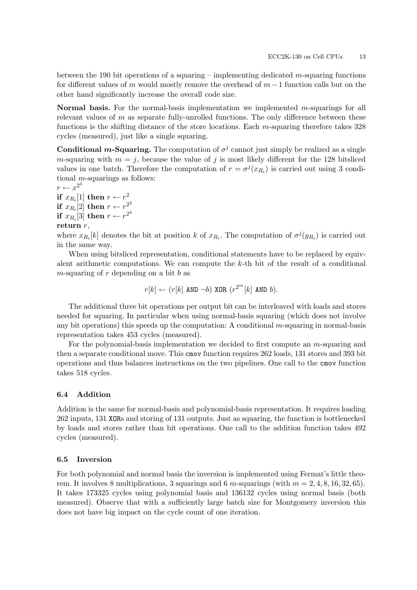between the 190 bit operations of a squaring – implementing dedicated  $m$ -squaring functions for different values of m would mostly remove the overhead of  $m-1$  function calls but on the other hand significantly increase the overall code size.

Normal basis. For the normal-basis implementation we implemented m-squarings for all relevant values of  $m$  as separate fully-unrolled functions. The only difference between these functions is the shifting distance of the store locations. Each m-squaring therefore takes 328 cycles (measured), just like a single squaring.

**Conditional m-Squaring.** The computation of  $\sigma^j$  cannot just simply be realized as a single *m*-squaring with  $m = j$ , because the value of j is most likely different for the 128 bitsliced values in one batch. Therefore the computation of  $r = \sigma^{j}(x_{R_i})$  is carried out using 3 conditional m-squarings as follows:

 $r \leftarrow x^{2^3}$ if  $x_{R_i}[1]$  then  $r \leftarrow r^2$ if  $x_{R_i}[2]$  then  $r \leftarrow r^{2^2}$ if  $x_{R_i}[3]$  then  $r \leftarrow r^{2^4}$ return  $r$ ,

where  $x_{R_i}[k]$  denotes the bit at position k of  $x_{R_i}$ . The computation of  $\sigma^j(y_{R_i})$  is carried out in the same way.

When using bitsliced representation, conditional statements have to be replaced by equivalent arithmetic computations. We can compute the  $k$ -th bit of the result of a conditional  $m$ -squaring of  $r$  depending on a bit  $b$  as

$$
r[k] \leftarrow (r[k] \text{ and } \neg b) \text{ XOR } (r^{2^m}[k] \text{ and } b).
$$

The additional three bit operations per output bit can be interleaved with loads and stores needed for squaring. In particular when using normal-basis squaring (which does not involve any bit operations) this speeds up the computation: A conditional  $m$ -squaring in normal-basis representation takes 453 cycles (measured).

For the polynomial-basis implementation we decided to first compute an  $m$ -squaring and then a separate conditional move. This cmov function requires 262 loads, 131 stores and 393 bit operations and thus balances instructions on the two pipelines. One call to the cmov function takes 518 cycles.

## 6.4 Addition

Addition is the same for normal-basis and polynomial-basis representation. It requires loading 262 inputs, 131 XORs and storing of 131 outputs. Just as squaring, the function is bottlenecked by loads and stores rather than bit operations. One call to the addition function takes 492 cycles (measured).

## 6.5 Inversion

For both polynomial and normal basis the inversion is implemented using Fermat's little theorem. It involves 8 multiplications, 3 squarings and 6 m-squarings (with  $m = 2, 4, 8, 16, 32, 65$ ). It takes 173325 cycles using polynomial basis and 136132 cycles using normal basis (both measured). Observe that with a sufficiently large batch size for Montgomery inversion this does not have big impact on the cycle count of one iteration.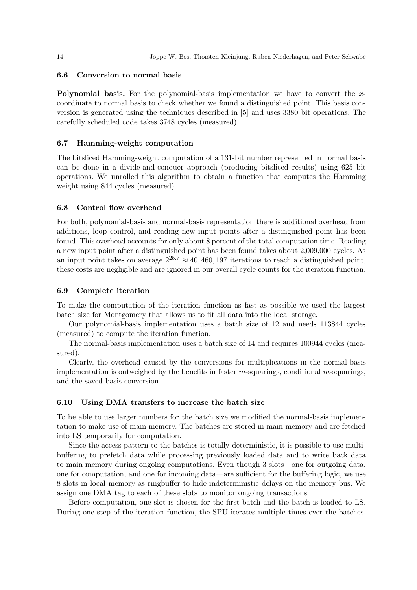#### 6.6 Conversion to normal basis

**Polynomial basis.** For the polynomial-basis implementation we have to convert the xcoordinate to normal basis to check whether we found a distinguished point. This basis conversion is generated using the techniques described in [5] and uses 3380 bit operations. The carefully scheduled code takes 3748 cycles (measured).

## 6.7 Hamming-weight computation

The bitsliced Hamming-weight computation of a 131-bit number represented in normal basis can be done in a divide-and-conquer approach (producing bitsliced results) using 625 bit operations. We unrolled this algorithm to obtain a function that computes the Hamming weight using 844 cycles (measured).

#### 6.8 Control flow overhead

For both, polynomial-basis and normal-basis representation there is additional overhead from additions, loop control, and reading new input points after a distinguished point has been found. This overhead accounts for only about 8 percent of the total computation time. Reading a new input point after a distinguished point has been found takes about 2,009,000 cycles. As an input point takes on average  $2^{25.7} \approx 40,460,197$  iterations to reach a distinguished point, these costs are negligible and are ignored in our overall cycle counts for the iteration function.

#### 6.9 Complete iteration

To make the computation of the iteration function as fast as possible we used the largest batch size for Montgomery that allows us to fit all data into the local storage.

Our polynomial-basis implementation uses a batch size of 12 and needs 113844 cycles (measured) to compute the iteration function.

The normal-basis implementation uses a batch size of 14 and requires 100944 cycles (measured).

Clearly, the overhead caused by the conversions for multiplications in the normal-basis implementation is outweighed by the benefits in faster  $m$ -squarings, conditional  $m$ -squarings, and the saved basis conversion.

#### 6.10 Using DMA transfers to increase the batch size

To be able to use larger numbers for the batch size we modified the normal-basis implementation to make use of main memory. The batches are stored in main memory and are fetched into LS temporarily for computation.

Since the access pattern to the batches is totally deterministic, it is possible to use multibuffering to prefetch data while processing previously loaded data and to write back data to main memory during ongoing computations. Even though 3 slots—one for outgoing data, one for computation, and one for incoming data—are sufficient for the buffering logic, we use 8 slots in local memory as ringbuffer to hide indeterministic delays on the memory bus. We assign one DMA tag to each of these slots to monitor ongoing transactions.

Before computation, one slot is chosen for the first batch and the batch is loaded to LS. During one step of the iteration function, the SPU iterates multiple times over the batches.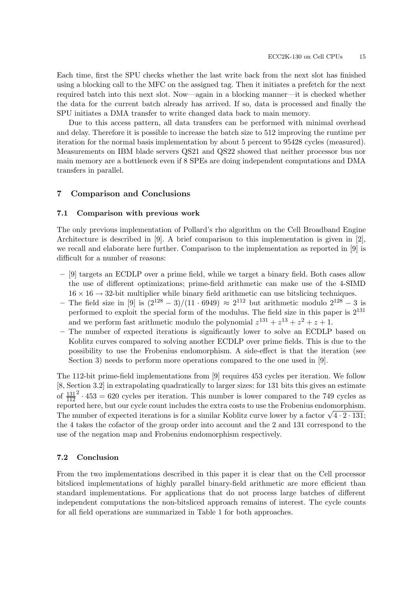Each time, first the SPU checks whether the last write back from the next slot has finished using a blocking call to the MFC on the assigned tag. Then it initiates a prefetch for the next required batch into this next slot. Now—again in a blocking manner—it is checked whether the data for the current batch already has arrived. If so, data is processed and finally the SPU initiates a DMA transfer to write changed data back to main memory.

Due to this access pattern, all data transfers can be performed with minimal overhead and delay. Therefore it is possible to increase the batch size to 512 improving the runtime per iteration for the normal basis implementation by about 5 percent to 95428 cycles (measured). Measurements on IBM blade servers QS21 and QS22 showed that neither processor bus nor main memory are a bottleneck even if 8 SPEs are doing independent computations and DMA transfers in parallel.

#### 7 Comparison and Conclusions

#### 7.1 Comparison with previous work

The only previous implementation of Pollard's rho algorithm on the Cell Broadband Engine Architecture is described in [9]. A brief comparison to this implementation is given in [2], we recall and elaborate here further. Comparison to the implementation as reported in [9] is difficult for a number of reasons:

- [9] targets an ECDLP over a prime field, while we target a binary field. Both cases allow the use of different optimizations; prime-field arithmetic can make use of the 4-SIMD  $16 \times 16 \rightarrow 32$ -bit multiplier while binary field arithmetic can use bitslicing techniques.
- The field size in [9] is  $\left(\frac{2^{128} 3}{11 \cdot 6949}\right) \approx 2^{112}$  but arithmetic modulo  $2^{128} 3$  is performed to exploit the special form of the modulus. The field size in this paper is  $2^{131}$ and we perform fast arithmetic modulo the polynomial  $z^{131} + z^{13} + z^2 + z + 1$ .
- The number of expected iterations is significantly lower to solve an ECDLP based on Koblitz curves compared to solving another ECDLP over prime fields. This is due to the possibility to use the Frobenius endomorphism. A side-effect is that the iteration (see Section 3) needs to perform more operations compared to the one used in [9].

The 112-bit prime-field implementations from [9] requires 453 cycles per iteration. We follow [8, Section 3.2] in extrapolating quadratically to larger sizes: for 131 bits this gives an estimate of  $\frac{131}{112}$  $^{2} \cdot 453 = 620$  cycles per iteration. This number is lower compared to the 749 cycles as reported here, but our cycle count includes the extra costs to use the Frobenius endomorphism. The number of expected iterations is for a similar Koblitz curve lower by a factor  $\sqrt{4 \cdot 2 \cdot 131}$ ; the 4 takes the cofactor of the group order into account and the 2 and 131 correspond to the use of the negation map and Frobenius endomorphism respectively.

#### 7.2 Conclusion

From the two implementations described in this paper it is clear that on the Cell processor bitsliced implementations of highly parallel binary-field arithmetic are more efficient than standard implementations. For applications that do not process large batches of different independent computations the non-bitsliced approach remains of interest. The cycle counts for all field operations are summarized in Table 1 for both approaches.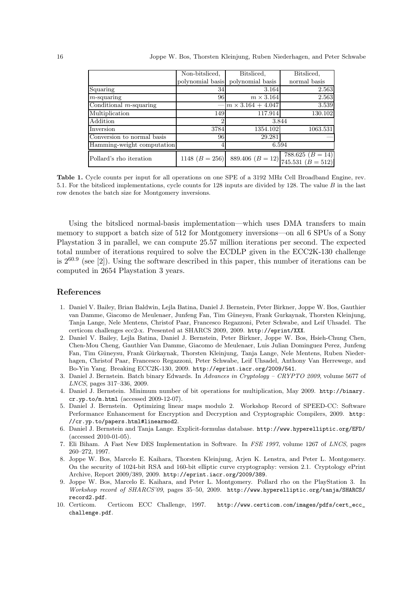|                            | Non-bitsliced,   | Bitsliced.               | Bitsliced.                                |
|----------------------------|------------------|--------------------------|-------------------------------------------|
|                            | polynomial basis | polynomial basis         | normal basis                              |
| Squaring                   | 34               | 3.164                    | 2.563                                     |
| $m$ -squaring              | 96               | $m \times 3.164$         | 2.563                                     |
| Conditional $m$ -squaring  |                  | $m \times 3.164 + 4.047$ | 3.539                                     |
| Multiplication             | 149              | 117.914                  | 130.102                                   |
| Addition                   | 2                |                          | 3.844                                     |
| Inversion                  | 3784             | 1354.102                 | 1063.531                                  |
| Conversion to normal basis | 96               | 29.281                   |                                           |
| Hamming-weight computation |                  |                          | 6.594                                     |
| Pollard's rho iteration    | 1148 $(B = 256)$ | 889.406 $(B = 12)$       | 788.625 $(B = 14)$<br>745.531 $(B = 512)$ |

Table 1. Cycle counts per input for all operations on one SPE of a 3192 MHz Cell Broadband Engine, rev. 5.1. For the bitsliced implementations, cycle counts for 128 inputs are divided by 128. The value B in the last row denotes the batch size for Montgomery inversions.

Using the bitsliced normal-basis implementation—which uses DMA transfers to main memory to support a batch size of 512 for Montgomery inversions—on all 6 SPUs of a Sony Playstation 3 in parallel, we can compute 25.57 million iterations per second. The expected total number of iterations required to solve the ECDLP given in the ECC2K-130 challenge is  $2^{60.9}$  (see [2]). Using the software described in this paper, this number of iterations can be computed in 2654 Playstation 3 years.

#### References

- 1. Daniel V. Bailey, Brian Baldwin, Lejla Batina, Daniel J. Bernstein, Peter Birkner, Joppe W. Bos, Gauthier van Damme, Giacomo de Meulenaer, Junfeng Fan, Tim Güneysu, Frank Gurkaynak, Thorsten Kleinjung, Tanja Lange, Nele Mentens, Christof Paar, Francesco Regazzoni, Peter Schwabe, and Leif Uhsadel. The certicom challenges ecc2-x. Presented at SHARCS 2009, 2009. http://eprint/XXX.
- 2. Daniel V. Bailey, Lejla Batina, Daniel J. Bernstein, Peter Birkner, Joppe W. Bos, Hsieh-Chung Chen, Chen-Mou Cheng, Gauthier Van Damme, Giacomo de Meulenaer, Luis Julian Dominguez Perez, Junfeng Fan, Tim Güneysu, Frank Gürkaynak, Thorsten Kleinjung, Tanja Lange, Nele Mentens, Ruben Niederhagen, Christof Paar, Francesco Regazzoni, Peter Schwabe, Leif Uhsadel, Anthony Van Herrewege, and Bo-Yin Yang. Breaking ECC2K-130, 2009. http://eprint.iacr.org/2009/541.
- 3. Daniel J. Bernstein. Batch binary Edwards. In Advances in Cryptology CRYPTO 2009, volume 5677 of LNCS, pages 317–336, 2009.
- 4. Daniel J. Bernstein. Minimum number of bit operations for multiplication, May 2009. http://binary. cr.yp.to/m.html (accessed 2009-12-07).
- 5. Daniel J. Bernstein. Optimizing linear maps modulo 2. Workshop Record of SPEED-CC: Software Performance Enhancement for Encryption and Decryption and Cryptographic Compilers, 2009. http: //cr.yp.to/papers.html#linearmod2.
- 6. Daniel J. Bernstein and Tanja Lange. Explicit-formulas database. http://www.hyperelliptic.org/EFD/ (accessed 2010-01-05).
- 7. Eli Biham. A Fast New DES Implementation in Software. In FSE 1997, volume 1267 of LNCS, pages 260–272, 1997.
- 8. Joppe W. Bos, Marcelo E. Kaihara, Thorsten Kleinjung, Arjen K. Lenstra, and Peter L. Montgomery. On the security of 1024-bit RSA and 160-bit elliptic curve cryptography: version 2.1. Cryptology ePrint Archive, Report 2009/389, 2009. http://eprint.iacr.org/2009/389.
- 9. Joppe W. Bos, Marcelo E. Kaihara, and Peter L. Montgomery. Pollard rho on the PlayStation 3. In Workshop record of SHARCS'09, pages 35–50, 2009. http://www.hyperelliptic.org/tanja/SHARCS/ record2.pdf.
- 10. Certicom. Certicom ECC Challenge, 1997. http://www.certicom.com/images/pdfs/cert\_ecc\_ challenge.pdf.